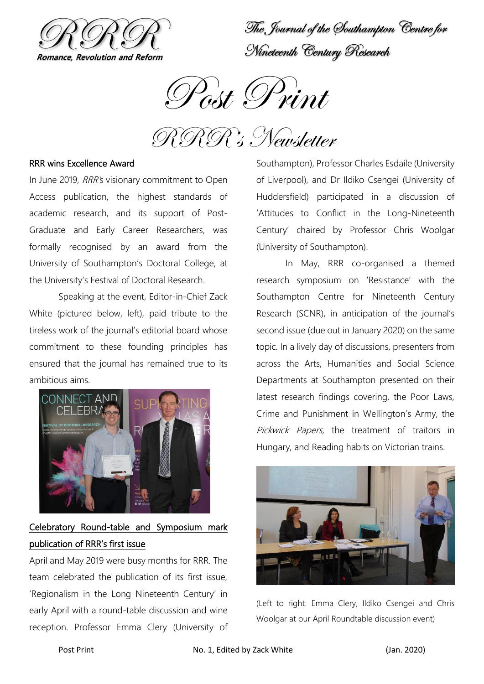

The Journal of the Southampton Centre for Nineteenth Century Research

Post Print

RRR's Newsletter

## RRR wins Excellence Award

In June 2019, RRR's visionary commitment to Open Access publication, the highest standards of academic research, and its support of Post-Graduate and Early Career Researchers, was formally recognised by an award from the University of Southampton's Doctoral College, at the University's Festival of Doctoral Research.

Speaking at the event, Editor-in-Chief Zack White (pictured below, left), paid tribute to the tireless work of the journal's editorial board whose commitment to these founding principles has ensured that the journal has remained true to its ambitious aims.



# Celebratory Round-table and Symposium mark publication of RRR's first issue

April and May 2019 were busy months for RRR. The team celebrated the publication of its first issue, 'Regionalism in the Long Nineteenth Century' in early April with a round-table discussion and wine reception. Professor Emma Clery (University of Southampton), Professor Charles Esdaile (University of Liverpool), and Dr Ildiko Csengei (University of Huddersfield) participated in a discussion of 'Attitudes to Conflict in the Long-Nineteenth Century' chaired by Professor Chris Woolgar (University of Southampton).

In May, RRR co-organised a themed research symposium on 'Resistance' with the Southampton Centre for Nineteenth Century Research (SCNR), in anticipation of the journal's second issue (due out in January 2020) on the same topic. In a lively day of discussions, presenters from across the Arts, Humanities and Social Science Departments at Southampton presented on their latest research findings covering, the Poor Laws, Crime and Punishment in Wellington's Army, the Pickwick Papers, the treatment of traitors in Hungary, and Reading habits on Victorian trains.



(Left to right: Emma Clery, Ildiko Csengei and Chris Woolgar at our April Roundtable discussion event)